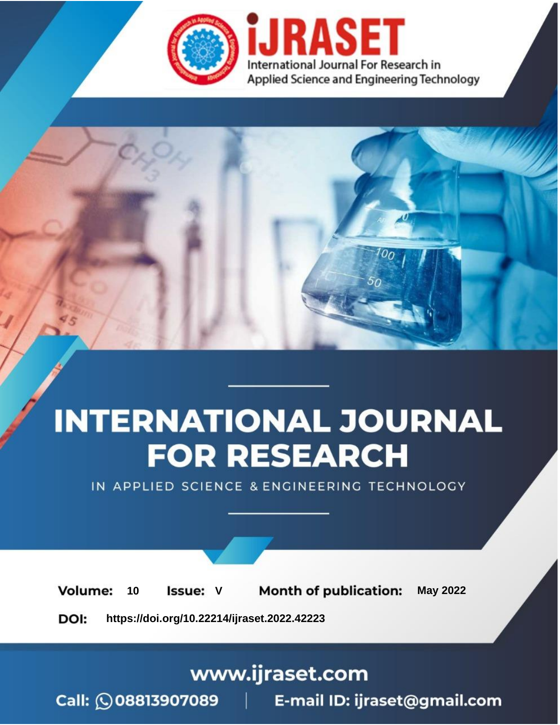

# **INTERNATIONAL JOURNAL FOR RESEARCH**

IN APPLIED SCIENCE & ENGINEERING TECHNOLOGY

Volume: **Month of publication: May 2022** 10 **Issue: V** 

DOI: https://doi.org/10.22214/ijraset.2022.42223

www.ijraset.com

Call: 008813907089 | E-mail ID: ijraset@gmail.com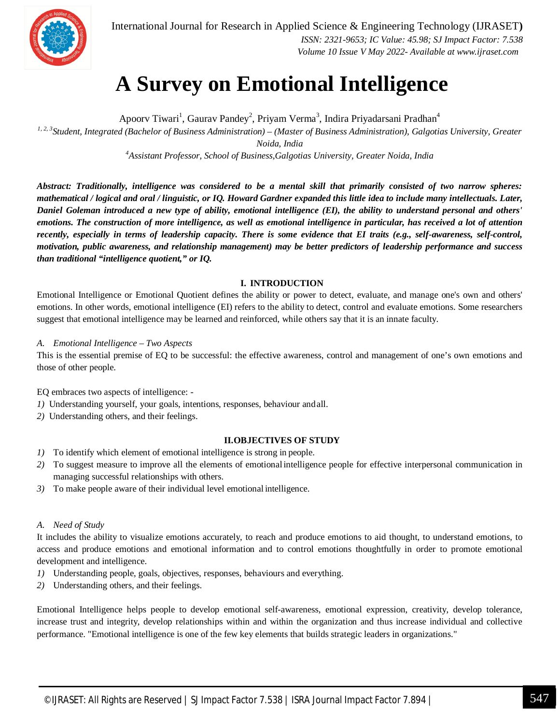

 *ISSN: 2321-9653; IC Value: 45.98; SJ Impact Factor: 7.538 Volume 10 Issue V May 2022- Available at www.ijraset.com*

### **A Survey on Emotional Intelligence**

Apoorv Tiwari<sup>1</sup>, Gaurav Pandey<sup>2</sup>, Priyam Verma<sup>3</sup>, Indira Priyadarsani Pradhan<sup>4</sup> *1, 2, 3Student, Integrated (Bachelor of Business Administration) – (Master of Business Administration), Galgotias University, Greater Noida, India*

*<sup>4</sup>Assistant Professor, School of Business,Galgotias University, Greater Noida, India*

*Abstract: Traditionally, intelligence was considered to be a mental skill that primarily consisted of two narrow spheres: mathematical / logical and oral / linguistic, or IQ. Howard Gardner expanded this little idea to include many intellectuals. Later, Daniel Goleman introduced a new type of ability, emotional intelligence (EI), the ability to understand personal and others' emotions. The construction of more intelligence, as well as emotional intelligence in particular, has received a lot of attention recently, especially in terms of leadership capacity. There is some evidence that EI traits (e.g., self-awareness, self-control, motivation, public awareness, and relationship management) may be better predictors of leadership performance and success than traditional "intelligence quotient," or IQ.*

#### **I. INTRODUCTION**

Emotional Intelligence or Emotional Quotient defines the ability or power to detect, evaluate, and manage one's own and others' emotions. In other words, emotional intelligence (EI) refers to the ability to detect, control and evaluate emotions. Some researchers suggest that emotional intelligence may be learned and reinforced, while others say that it is an innate faculty.

#### *A. Emotional Intelligence – Two Aspects*

This is the essential premise of EQ to be successful: the effective awareness, control and management of one's own emotions and those of other people.

EQ embraces two aspects of intelligence: -

- *1)* Understanding yourself, your goals, intentions, responses, behaviour andall.
- *2)* Understanding others, and their feelings.

#### **II.OBJECTIVES OF STUDY**

- *1)* To identify which element of emotional intelligence is strong in people.
- *2)* To suggest measure to improve all the elements of emotionalintelligence people for effective interpersonal communication in managing successful relationships with others.
- *3)* To make people aware of their individual level emotional intelligence.

#### *A. Need of Study*

It includes the ability to visualize emotions accurately, to reach and produce emotions to aid thought, to understand emotions, to access and produce emotions and emotional information and to control emotions thoughtfully in order to promote emotional development and intelligence.

- *1)* Understanding people, goals, objectives, responses, behaviours and everything.
- *2)* Understanding others, and their feelings.

Emotional Intelligence helps people to develop emotional self-awareness, emotional expression, creativity, develop tolerance, increase trust and integrity, develop relationships within and within the organization and thus increase individual and collective performance. "Emotional intelligence is one of the few key elements that builds strategic leaders in organizations."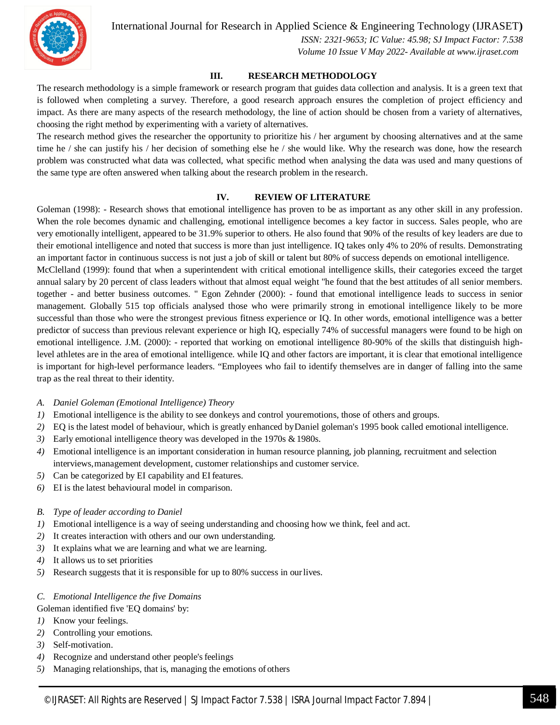

 *ISSN: 2321-9653; IC Value: 45.98; SJ Impact Factor: 7.538 Volume 10 Issue V May 2022- Available at www.ijraset.com*

#### **III. RESEARCH METHODOLOGY**

The research methodology is a simple framework or research program that guides data collection and analysis. It is a green text that is followed when completing a survey. Therefore, a good research approach ensures the completion of project efficiency and impact. As there are many aspects of the research methodology, the line of action should be chosen from a variety of alternatives, choosing the right method by experimenting with a variety of alternatives.

The research method gives the researcher the opportunity to prioritize his / her argument by choosing alternatives and at the same time he / she can justify his / her decision of something else he / she would like. Why the research was done, how the research problem was constructed what data was collected, what specific method when analysing the data was used and many questions of the same type are often answered when talking about the research problem in the research.

#### **IV. REVIEW OF LITERATURE**

Goleman (1998): - Research shows that emotional intelligence has proven to be as important as any other skill in any profession. When the role becomes dynamic and challenging, emotional intelligence becomes a key factor in success. Sales people, who are very emotionally intelligent, appeared to be 31.9% superior to others. He also found that 90% of the results of key leaders are due to their emotional intelligence and noted that success is more than just intelligence. IQ takes only 4% to 20% of results. Demonstrating an important factor in continuous success is not just a job of skill or talent but 80% of success depends on emotional intelligence.

McClelland (1999): found that when a superintendent with critical emotional intelligence skills, their categories exceed the target annual salary by 20 percent of class leaders without that almost equal weight "he found that the best attitudes of all senior members. together - and better business outcomes. " Egon Zehnder (2000): - found that emotional intelligence leads to success in senior management. Globally 515 top officials analysed those who were primarily strong in emotional intelligence likely to be more successful than those who were the strongest previous fitness experience or IQ. In other words, emotional intelligence was a better predictor of success than previous relevant experience or high IQ, especially 74% of successful managers were found to be high on emotional intelligence. J.M. (2000): - reported that working on emotional intelligence 80-90% of the skills that distinguish highlevel athletes are in the area of emotional intelligence. while IQ and other factors are important, it is clear that emotional intelligence is important for high-level performance leaders. "Employees who fail to identify themselves are in danger of falling into the same trap as the real threat to their identity.

- *A. Daniel Goleman (Emotional Intelligence) Theory*
- *1)* Emotional intelligence is the ability to see donkeys and control youremotions, those of others and groups.
- *2)* EQ is the latest model of behaviour, which is greatly enhanced byDaniel goleman's 1995 book called emotional intelligence.
- 3) Early emotional intelligence theory was developed in the 1970s & 1980s.
- *4)* Emotional intelligence is an important consideration in human resource planning, job planning, recruitment and selection interviews,management development, customer relationships and customer service.
- *5)* Can be categorized by EI capability and EI features.
- *6)* EI is the latest behavioural model in comparison.
- *B. Type of leader according to Daniel*
- *1)* Emotional intelligence is a way of seeing understanding and choosing how we think, feel and act.
- *2)* It creates interaction with others and our own understanding.
- *3)* It explains what we are learning and what we are learning.
- *4)* It allows us to set priorities
- *5)* Research suggests that it is responsible for up to 80% success in ourlives.

#### *C. Emotional Intelligence the five Domains*

Goleman identified five 'EQ domains' by:

- *1)* Know your feelings.
- *2)* Controlling your emotions.
- *3)* Self-motivation.
- 4) Recognize and understand other people's feelings
- *5)* Managing relationships, that is, managing the emotions of others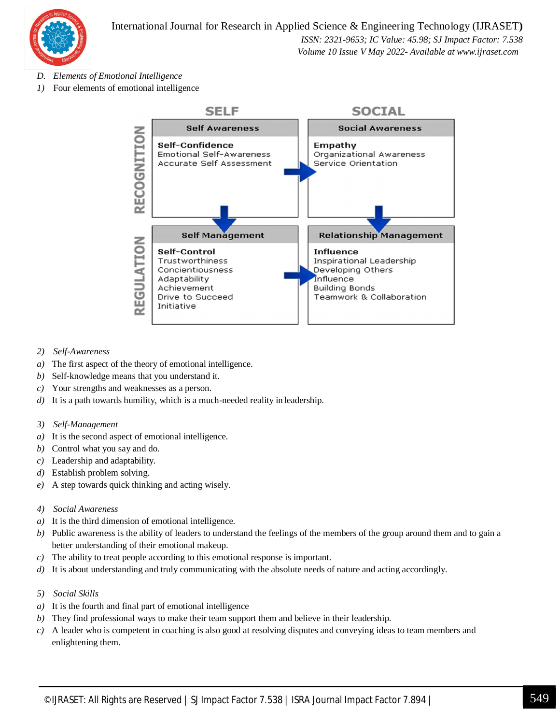

 *Volume 10 Issue V May 2022- Available at www.ijraset.com*

- *D. Elements of Emotional Intelligence*
- *1)* Four elements of emotional intelligence



- *2) Self-Awareness*
- *a)* The first aspect of the theory of emotional intelligence.
- *b)* Self-knowledge means that you understand it.
- *c)* Your strengths and weaknesses as a person.
- *d)* It is a path towards humility, which is a much-needed reality in leadership.
- *3) Self-Management*
- *a)* It is the second aspect of emotional intelligence.
- *b)* Control what you say and do.
- *c)* Leadership and adaptability.
- *d)* Establish problem solving.
- *e)* A step towards quick thinking and acting wisely.
- *4) Social Awareness*
- *a)* It is the third dimension of emotional intelligence.
- *b)* Public awareness is the ability of leaders to understand the feelings of the members of the group around them and to gain a better understanding of their emotional makeup.
- *c)* The ability to treat people according to this emotional response is important.
- *d*) It is about understanding and truly communicating with the absolute needs of nature and acting accordingly.
- *5) Social Skills*
- *a)* It is the fourth and final part of emotional intelligence
- *b)* They find professional ways to make their team support them and believe in their leadership.
- *c)* A leader who is competent in coaching is also good at resolving disputes and conveying ideas to team members and enlightening them.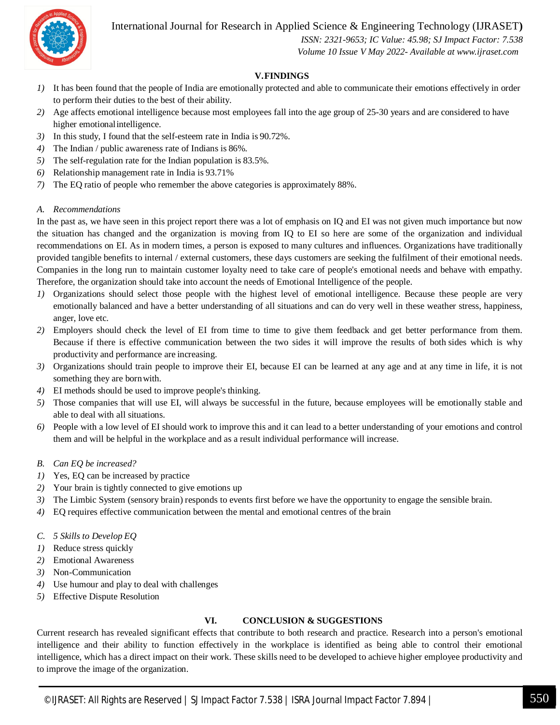

 *ISSN: 2321-9653; IC Value: 45.98; SJ Impact Factor: 7.538 Volume 10 Issue V May 2022- Available at www.ijraset.com*

#### **V.FINDINGS**

- *1)* It has been found that the people of India are emotionally protected and able to communicate their emotions effectively in order to perform their duties to the best of their ability.
- *2)* Age affects emotional intelligence because most employees fall into the age group of 25-30 years and are considered to have higher emotionalintelligence.
- *3)* In this study, I found that the self-esteem rate in India is 90.72%.
- *4)* The Indian / public awareness rate of Indians is 86%.
- *5)* The self-regulation rate for the Indian population is 83.5%.
- *6)* Relationship management rate in India is 93.71%
- *7)* The EQ ratio of people who remember the above categories is approximately 88%.

#### *A. Recommendations*

In the past as, we have seen in this project report there was a lot of emphasis on IQ and EI was not given much importance but now the situation has changed and the organization is moving from IQ to EI so here are some of the organization and individual recommendations on EI. As in modern times, a person is exposed to many cultures and influences. Organizations have traditionally provided tangible benefits to internal / external customers, these days customers are seeking the fulfilment of their emotional needs. Companies in the long run to maintain customer loyalty need to take care of people's emotional needs and behave with empathy. Therefore, the organization should take into account the needs of Emotional Intelligence of the people.

- *1)* Organizations should select those people with the highest level of emotional intelligence. Because these people are very emotionally balanced and have a better understanding of all situations and can do very well in these weather stress, happiness, anger, love etc.
- *2)* Employers should check the level of EI from time to time to give them feedback and get better performance from them. Because if there is effective communication between the two sides it will improve the results of both sides which is why productivity and performance are increasing.
- *3)* Organizations should train people to improve their EI, because EI can be learned at any age and at any time in life, it is not something they are bornwith.
- *4)* EI methods should be used to improve people's thinking.
- *5)* Those companies that will use EI, will always be successful in the future, because employees will be emotionally stable and able to deal with all situations.
- *6)* People with a low level of EI should work to improve this and it can lead to a better understanding of your emotions and control them and will be helpful in the workplace and as a result individual performance will increase.
- *B. Can EQ be increased?*
- *1)* Yes, EQ can be increased by practice
- *2)* Your brain is tightly connected to give emotions up
- *3)* The Limbic System (sensory brain) responds to events first before we have the opportunity to engage the sensible brain.
- *4)* EQ requires effective communication between the mental and emotional centres of the brain
- *C. 5 Skills to Develop EQ*
- *1)* Reduce stress quickly
- *2)* Emotional Awareness
- *3)* Non-Communication
- *4)* Use humour and play to deal with challenges
- *5)* Effective Dispute Resolution

#### **VI. CONCLUSION & SUGGESTIONS**

Current research has revealed significant effects that contribute to both research and practice. Research into a person's emotional intelligence and their ability to function effectively in the workplace is identified as being able to control their emotional intelligence, which has a direct impact on their work. These skills need to be developed to achieve higher employee productivity and to improve the image of the organization.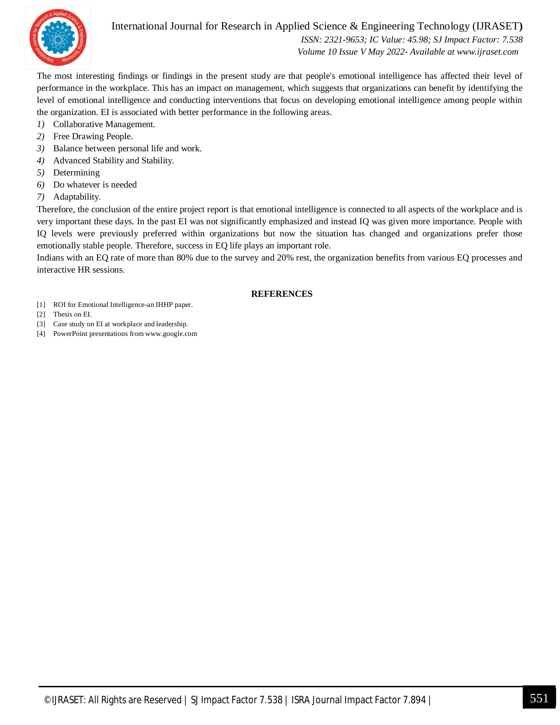

 *ISSN: 2321-9653; IC Value: 45.98; SJ Impact Factor: 7.538 Volume 10 Issue V May 2022- Available at www.ijraset.com*

The most interesting findings or findings in the present study are that people's emotional intelligence has affected their level of performance in the workplace. This has an impact on management, which suggests that organizations can benefit by identifying the level of emotional intelligence and conducting interventions that focus on developing emotional intelligence among people within the organization. EI is associated with better performance in the following areas.

- *1)* Collaborative Management.
- *2)* Free Drawing People.
- *3)* Balance between personal life and work.
- *4)* Advanced Stability and Stability.
- *5)* Determining
- *6)* Do whatever is needed
- *7)* Adaptability.

Therefore, the conclusion of the entire project report is that emotional intelligence is connected to all aspects of the workplace and is very important these days. In the past EI was not significantly emphasized and instead IQ was given more importance. People with IQ levels were previously preferred within organizations but now the situation has changed and organizations prefer those emotionally stable people. Therefore, success in EQ life plays an important role.

Indians with an EQ rate of more than 80% due to the survey and 20% rest, the organization benefits from various EQ processes and interactive HR sessions.

#### **REFERENCES**

- [1] ROI for Emotional Intelligence-an IHHP paper.
- [2] Thesis on EI.
- [3] Case study on EI at workplace and leadership.
- [4] PowerPoint presentations from www.google.com